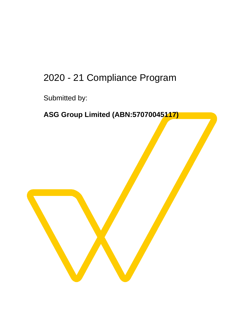## 2020 - 21 Compliance Program

Submitted by:

## **ASG Group Limited (ABN:57070045117)**

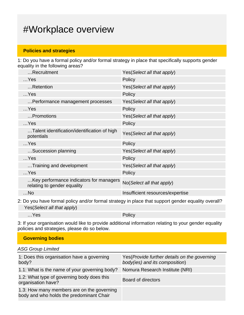## #Workplace overview

### **Policies and strategies**

1: Do you have a formal policy and/or formal strategy in place that specifically supports gender equality in the following areas?

| Recruitment                                                            | Yes (Select all that apply)      |
|------------------------------------------------------------------------|----------------------------------|
| $$ Yes                                                                 | Policy                           |
| Retention                                                              | Yes(Select all that apply)       |
| $$ Yes                                                                 | Policy                           |
| Performance management processes                                       | Yes (Select all that apply)      |
| $$ Yes                                                                 | Policy                           |
| Promotions                                                             | Yes(Select all that apply)       |
| $$ Yes                                                                 | Policy                           |
| Talent identification/identification of high<br>potentials             | Yes (Select all that apply)      |
| $$ Yes                                                                 | Policy                           |
| Succession planning                                                    | Yes (Select all that apply)      |
| $$ Yes                                                                 | Policy                           |
| Training and development                                               | Yes (Select all that apply)      |
| $$ Yes                                                                 | Policy                           |
| Key performance indicators for managers<br>relating to gender equality | No(Select all that apply)        |
| $$ No                                                                  | Insufficient resources/expertise |

2: Do you have formal policy and/or formal strategy in place that support gender equality overall? Yes(Select all that apply)

…Yes Policy

3: If your organisation would like to provide additional information relating to your gender equality policies and strategies, please do so below.

| <b>Governing bodies</b> |
|-------------------------|
|-------------------------|

ASG Group Limited

| 1: Does this organisation have a governing<br>body?                                    | Yes (Provide further details on the governing<br>body(ies) and its composition) |
|----------------------------------------------------------------------------------------|---------------------------------------------------------------------------------|
| 1.1: What is the name of your governing body?                                          | Nomura Research Institute (NRI)                                                 |
| 1.2: What type of governing body does this<br>organisation have?                       | Board of directors                                                              |
| 1.3: How many members are on the governing<br>body and who holds the predominant Chair |                                                                                 |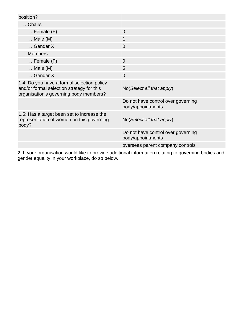| position?                                                                                                                         |                                                         |
|-----------------------------------------------------------------------------------------------------------------------------------|---------------------------------------------------------|
| Chairs                                                                                                                            |                                                         |
| $Female$ (F)                                                                                                                      | $\overline{0}$                                          |
| $Male(M)$                                                                                                                         | 1                                                       |
| Gender X                                                                                                                          | $\overline{0}$                                          |
| Members                                                                                                                           |                                                         |
| $Female(F)$                                                                                                                       | $\overline{0}$                                          |
| $$ Male $(M)$                                                                                                                     | 5                                                       |
| Gender X                                                                                                                          | $\overline{0}$                                          |
| 1.4: Do you have a formal selection policy<br>and/or formal selection strategy for this<br>organisation's governing body members? | No(Select all that apply)                               |
|                                                                                                                                   | Do not have control over governing<br>body/appointments |
| 1.5: Has a target been set to increase the<br>representation of women on this governing<br>body?                                  | No(Select all that apply)                               |
|                                                                                                                                   | Do not have control over governing<br>body/appointments |
|                                                                                                                                   | overseas parent company controls                        |
| 2. If your organization would like to provide additional information relating to governing bodies and                             |                                                         |

2: If your organisation would like to provide additional information relating to governing bodies and gender equality in your workplace, do so below.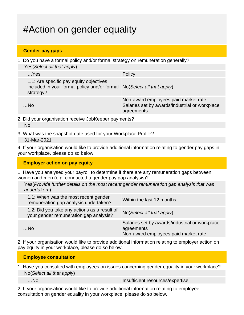# #Action on gender equality

#### **Gender pay gaps**

1: Do you have a formal policy and/or formal strategy on remuneration generally? Yes(Select all that apply)

| $$ Yes                                                                                                                         | Policy                                                                                               |
|--------------------------------------------------------------------------------------------------------------------------------|------------------------------------------------------------------------------------------------------|
| 1.1: Are specific pay equity objectives<br>included in your formal policy and/or formal No(Select all that apply)<br>strategy? |                                                                                                      |
| $$ No                                                                                                                          | Non-award employees paid market rate<br>Salaries set by awards/industrial or workplace<br>agreements |

2: Did your organisation receive JobKeeper payments?

No

3: What was the snapshot date used for your Workplace Profile?

31-Mar-2021

4: If your organisation would like to provide additional information relating to gender pay gaps in your workplace, please do so below.

#### **Employer action on pay equity**

1: Have you analysed your payroll to determine if there are any remuneration gaps between women and men (e.g. conducted a gender pay gap analysis)?

Yes(Provide further details on the most recent gender remuneration gap analysis that was undertaken.)

| 1.1: When was the most recent gender<br>remuneration gap analysis undertaken?          | Within the last 12 months                                                                            |
|----------------------------------------------------------------------------------------|------------------------------------------------------------------------------------------------------|
| 1.2: Did you take any actions as a result of<br>your gender remuneration gap analysis? | No(Select all that apply)                                                                            |
| $$ No                                                                                  | Salaries set by awards/industrial or workplace<br>agreements<br>Non-award employees paid market rate |

2: If your organisation would like to provide additional information relating to employer action on pay equity in your workplace, please do so below.

#### **Employee consultation**

1: Have you consulted with employees on issues concerning gender equality in your workplace? No(Select all that apply)

...No Insufficient resources/expertise

2: If your organisation would like to provide additional information relating to employee consultation on gender equality in your workplace, please do so below.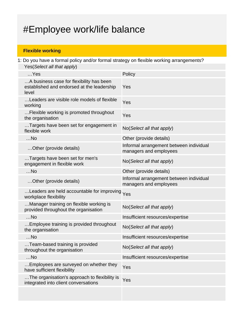# #Employee work/life balance

### **Flexible working**

1: Do you have a formal policy and/or formal strategy on flexible working arrangements? Yes(Select all that apply)

| $$ Yes                                                                                          | Policy                                                            |
|-------------------------------------------------------------------------------------------------|-------------------------------------------------------------------|
| A business case for flexibility has been<br>established and endorsed at the leadership<br>level | Yes                                                               |
| Leaders are visible role models of flexible<br>working                                          | Yes                                                               |
| Flexible working is promoted throughout<br>the organisation                                     | Yes                                                               |
| Targets have been set for engagement in<br>flexible work                                        | No(Select all that apply)                                         |
| $$ No                                                                                           | Other (provide details)                                           |
| Other (provide details)                                                                         | Informal arrangement between individual<br>managers and employees |
| Targets have been set for men's<br>engagement in flexible work                                  | No(Select all that apply)                                         |
| $$ No                                                                                           | Other (provide details)                                           |
| Other (provide details)                                                                         | Informal arrangement between individual<br>managers and employees |
| Leaders are held accountable for improving Yes<br>workplace flexibility                         |                                                                   |
| Manager training on flexible working is<br>provided throughout the organisation                 | No(Select all that apply)                                         |
| $$ No                                                                                           | Insufficient resources/expertise                                  |
| Employee training is provided throughout<br>the organisation                                    | No(Select all that apply)                                         |
| $$ No                                                                                           | Insufficient resources/expertise                                  |
| Team-based training is provided<br>throughout the organisation                                  | No(Select all that apply)                                         |
| $$ No                                                                                           | Insufficient resources/expertise                                  |
| Employees are surveyed on whether they<br>have sufficient flexibility                           | Yes                                                               |
| The organisation's approach to flexibility is<br>integrated into client conversations           | Yes                                                               |
|                                                                                                 |                                                                   |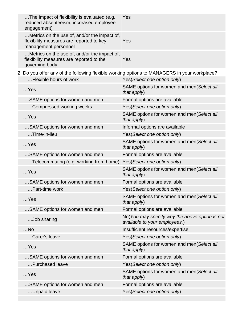| The impact of flexibility is evaluated (e.g.<br>reduced absenteeism, increased employee<br>engagement)           | Yes                                                                             |
|------------------------------------------------------------------------------------------------------------------|---------------------------------------------------------------------------------|
| Metrics on the use of, and/or the impact of,<br>flexibility measures are reported to key<br>management personnel | Yes                                                                             |
| Metrics on the use of, and/or the impact of,<br>flexibility measures are reported to the<br>governing body       | Yes                                                                             |
| 2: Do you offer any of the following flexible working options to MANAGERS in your workplace?                     |                                                                                 |
| Flexible hours of work                                                                                           | Yes(Select one option only)                                                     |
| $$ Yes                                                                                                           | SAME options for women and men(Select all<br>that apply)                        |
| SAME options for women and men                                                                                   | Formal options are available                                                    |
| Compressed working weeks                                                                                         | Yes(Select one option only)                                                     |
| $$ Yes                                                                                                           | SAME options for women and men(Select all<br>that apply)                        |
| SAME options for women and men                                                                                   | Informal options are available                                                  |
| Time-in-lieu                                                                                                     | Yes(Select one option only)                                                     |
| $$ Yes                                                                                                           | SAME options for women and men(Select all<br>that apply)                        |
| SAME options for women and men                                                                                   | Formal options are available                                                    |
| Telecommuting (e.g. working from home)                                                                           | Yes(Select one option only)                                                     |
| $$ Yes                                                                                                           | SAME options for women and men(Select all<br>that apply)                        |
| SAME options for women and men                                                                                   | Formal options are available                                                    |
| Part-time work                                                                                                   | Yes(Select one option only)                                                     |
| $$ Yes                                                                                                           | SAME options for women and men(Select all<br>that apply)                        |
| SAME options for women and men                                                                                   | Formal options are available                                                    |
| Job sharing                                                                                                      | No(You may specify why the above option is not<br>available to your employees.) |
| $$ No                                                                                                            | Insufficient resources/expertise                                                |
| Carer's leave                                                                                                    | Yes(Select one option only)                                                     |
| $$ Yes                                                                                                           | SAME options for women and men(Select all<br>that apply)                        |
| SAME options for women and men                                                                                   | Formal options are available                                                    |
| Purchased leave                                                                                                  | Yes(Select one option only)                                                     |
| $$ Yes                                                                                                           | SAME options for women and men(Select all<br>that apply)                        |
| SAME options for women and men                                                                                   | Formal options are available                                                    |
| Unpaid leave                                                                                                     | Yes(Select one option only)                                                     |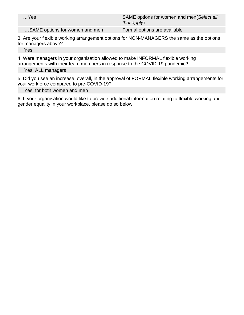| $$ Yes                         | SAME options for women and men(Select all<br>that apply) |
|--------------------------------|----------------------------------------------------------|
| SAME options for women and men | Formal options are available                             |

3: Are your flexible working arrangement options for NON-MANAGERS the same as the options for managers above?

Yes

4: Were managers in your organisation allowed to make INFORMAL flexible working arrangements with their team members in response to the COVID-19 pandemic?

Yes, ALL managers

5: Did you see an increase, overall, in the approval of FORMAL flexible working arrangements for your workforce compared to pre-COVID-19?

Yes, for both women and men

6: If your organisation would like to provide additional information relating to flexible working and gender equality in your workplace, please do so below.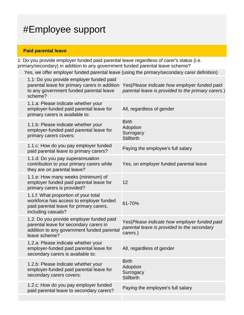## #Employee support

### **Paid parental leave**

1: Do you provide employer funded paid parental leave regardless of carer's status (i.e. primary/secondary) in addition to any government funded parental leave scheme?

Yes, we offer employer funded parental leave (using the primary/secondary carer definition)

| 1.1: Do you provide employer funded paid<br>parental leave for primary carers in addition<br>to any government funded parental leave<br>scheme?   | Yes (Please indicate how employer funded paid<br>parental leave is provided to the primary carers.)     |
|---------------------------------------------------------------------------------------------------------------------------------------------------|---------------------------------------------------------------------------------------------------------|
| 1.1.a: Please indicate whether your<br>employer-funded paid parental leave for<br>primary carers is available to:                                 | All, regardless of gender                                                                               |
| 1.1.b: Please indicate whether your<br>employer-funded paid parental leave for<br>primary carers covers:                                          | <b>Birth</b><br>Adoption<br>Surrogacy<br><b>Stillbirth</b>                                              |
| 1.1.c: How do you pay employer funded<br>paid parental leave to primary carers?                                                                   | Paying the employee's full salary                                                                       |
| 1.1.d: Do you pay superannuation<br>contribution to your primary carers while<br>they are on parental leave?                                      | Yes, on employer funded parental leave                                                                  |
| 1.1.e: How many weeks (minimum) of<br>employer funded paid parental leave for<br>primary carers is provided?                                      | 12                                                                                                      |
| 1.1.f: What proportion of your total<br>workforce has access to employer funded<br>paid parental leave for primary carers,<br>including casuals?  | 61-70%                                                                                                  |
| 1.2: Do you provide employer funded paid<br>parental leave for secondary carers in<br>addition to any government funded parental<br>leave scheme? | Yes(Please indicate how employer funded paid<br>parental leave is provided to the secondary<br>carers.) |
| 1.2.a: Please indicate whether your<br>employer-funded paid parental leave for<br>secondary carers is available to:                               | All, regardless of gender                                                                               |
| 1.2.b: Please indicate whether your<br>employer-funded paid parental leave for<br>secondary carers covers:                                        | <b>Birth</b><br>Adoption<br>Surrogacy<br><b>Stillbirth</b>                                              |
| 1.2.c: How do you pay employer funded<br>paid parental leave to secondary carers?                                                                 | Paying the employee's full salary                                                                       |
|                                                                                                                                                   |                                                                                                         |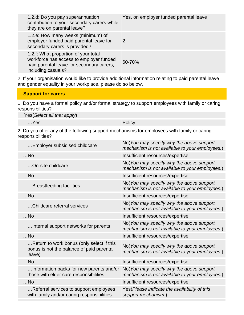| 1.2.d: Do you pay superannuation<br>contribution to your secondary carers while<br>they are on parental leave?                                     | Yes, on employer funded parental leave |
|----------------------------------------------------------------------------------------------------------------------------------------------------|----------------------------------------|
| 1.2.e: How many weeks (minimum) of<br>employer funded paid parental leave for<br>secondary carers is provided?                                     | 2                                      |
| 1.2.f: What proportion of your total<br>workforce has access to employer funded<br>paid parental leave for secondary carers,<br>including casuals? | 60-70%                                 |

2: If your organisation would like to provide additional information relating to paid parental leave and gender equality in your workplace, please do so below.

#### **Support for carers**

1: Do you have a formal policy and/or formal strategy to support employees with family or caring responsibilities?

Yes(Select all that apply)

…Yes Policy

2: Do you offer any of the following support mechanisms for employees with family or caring responsibilities?

| Employer subsidised childcare                                                                    | No(You may specify why the above support<br>mechanism is not available to your employees.) |
|--------------------------------------------------------------------------------------------------|--------------------------------------------------------------------------------------------|
| $$ No                                                                                            | Insufficient resources/expertise                                                           |
| On-site childcare                                                                                | No(You may specify why the above support<br>mechanism is not available to your employees.) |
| $$ No                                                                                            | Insufficient resources/expertise                                                           |
| Breastfeeding facilities                                                                         | No(You may specify why the above support<br>mechanism is not available to your employees.) |
| $$ No                                                                                            | Insufficient resources/expertise                                                           |
| Childcare referral services                                                                      | No(You may specify why the above support<br>mechanism is not available to your employees.) |
| $$ No                                                                                            | Insufficient resources/expertise                                                           |
| Internal support networks for parents                                                            | No(You may specify why the above support<br>mechanism is not available to your employees.) |
| $$ No                                                                                            | Insufficient resources/expertise                                                           |
| Return to work bonus (only select if this<br>bonus is not the balance of paid parental<br>leave) | No(You may specify why the above support<br>mechanism is not available to your employees.) |
| $$ No                                                                                            | Insufficient resources/expertise                                                           |
| Information packs for new parents and/or<br>those with elder care responsibilities               | No(You may specify why the above support<br>mechanism is not available to your employees.) |
| $$ No                                                                                            | Insufficient resources/expertise                                                           |
| Referral services to support employees<br>with family and/or caring responsibilities             | Yes (Please indicate the availability of this<br>support mechanism.)                       |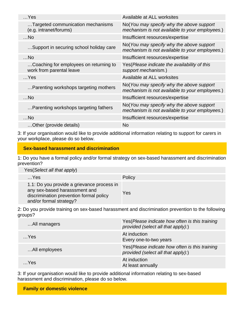| $$ Yes                                                             | Available at ALL worksites                                                                 |
|--------------------------------------------------------------------|--------------------------------------------------------------------------------------------|
| Targeted communication mechanisms<br>(e.g. intranet/forums)        | No(You may specify why the above support<br>mechanism is not available to your employees.) |
| $$ No                                                              | Insufficient resources/expertise                                                           |
| Support in securing school holiday care                            | No(You may specify why the above support<br>mechanism is not available to your employees.) |
| $$ No                                                              | Insufficient resources/expertise                                                           |
| Coaching for employees on returning to<br>work from parental leave | Yes (Please indicate the availability of this<br>support mechanism.)                       |
| $$ Yes                                                             | Available at ALL worksites                                                                 |
| Parenting workshops targeting mothers                              | No(You may specify why the above support<br>mechanism is not available to your employees.) |
| $$ No                                                              | Insufficient resources/expertise                                                           |
| Parenting workshops targeting fathers                              | No(You may specify why the above support<br>mechanism is not available to your employees.) |
| $$ No                                                              | Insufficient resources/expertise                                                           |
| Other (provide details)                                            | <b>No</b>                                                                                  |
|                                                                    |                                                                                            |

3: If your organisation would like to provide additional information relating to support for carers in your workplace, please do so below.

#### **Sex-based harassment and discrimination**

1: Do you have a formal policy and/or formal strategy on sex-based harassment and discrimination prevention?

| Yes(Select all that apply) |  |
|----------------------------|--|
|----------------------------|--|

| $$ Yes |                                                                                                                                                   | Policy |
|--------|---------------------------------------------------------------------------------------------------------------------------------------------------|--------|
|        | 1.1: Do you provide a grievance process in<br>any sex-based harasssment and<br>discrimination prevention formal policy<br>and/or formal strategy? | Yes    |

2: Do you provide training on sex-based harassment and discrimination prevention to the following groups?

| All managers  | Yes (Please indicate how often is this training<br>provided (select all that apply):) |
|---------------|---------------------------------------------------------------------------------------|
| $$ Yes        | At induction<br>Every one-to-two years                                                |
| All employees | Yes (Please indicate how often is this training<br>provided (select all that apply):) |
| $$ Yes        | At induction<br>At least annually                                                     |

3: If your organisation would like to provide additional information relating to sex-based harassment and discrimination, please do so below.

**Family or domestic violence**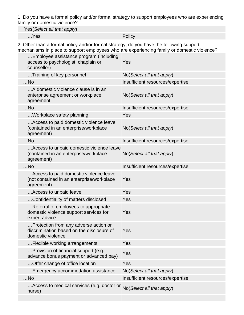1: Do you have a formal policy and/or formal strategy to support employees who are experiencing family or domestic violence?

Yes(Select all that apply)

…Yes Policy

2: Other than a formal policy and/or formal strategy, do you have the following support mechanisms in place to support employees who are experiencing family or domestic violence?

| Employee assistance program (including<br>access to psychologist, chaplain or<br>counsellor)            | Yes                              |
|---------------------------------------------------------------------------------------------------------|----------------------------------|
| Training of key personnel                                                                               | No(Select all that apply)        |
| $$ No                                                                                                   | Insufficient resources/expertise |
| A domestic violence clause is in an<br>enterprise agreement or workplace<br>agreement                   | No(Select all that apply)        |
| $$ No                                                                                                   | Insufficient resources/expertise |
| Workplace safety planning                                                                               | Yes                              |
| Access to paid domestic violence leave<br>(contained in an enterprise/workplace<br>agreement)           | No(Select all that apply)        |
| $$ No                                                                                                   | Insufficient resources/expertise |
| Access to unpaid domestic violence leave<br>(contained in an enterprise/workplace<br>agreement)         | No(Select all that apply)        |
| $$ No                                                                                                   | Insufficient resources/expertise |
| Access to paid domestic violence leave<br>(not contained in an enterprise/workplace<br>agreement)       | Yes                              |
| Access to unpaid leave                                                                                  | Yes                              |
| Confidentiality of matters disclosed                                                                    | Yes                              |
| Referral of employees to appropriate<br>domestic violence support services for<br>expert advice         | Yes                              |
| Protection from any adverse action or<br>discrimination based on the disclosure of<br>domestic violence | Yes                              |
| Flexible working arrangements                                                                           | Yes                              |
| Provision of financial support (e.g.<br>advance bonus payment or advanced pay)                          | Yes                              |
| Offer change of office location                                                                         | Yes                              |
| Emergency accommodation assistance                                                                      | No(Select all that apply)        |
| $$ No                                                                                                   | Insufficient resources/expertise |
| Access to medical services (e.g. doctor or<br>nurse)                                                    | No(Select all that apply)        |
|                                                                                                         |                                  |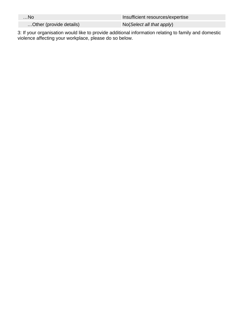| …No                     | Insufficient resources/expertise |  |  |
|-------------------------|----------------------------------|--|--|
| Other (provide details) | No (Select all that apply)       |  |  |

3: If your organisation would like to provide additional information relating to family and domestic violence affecting your workplace, please do so below.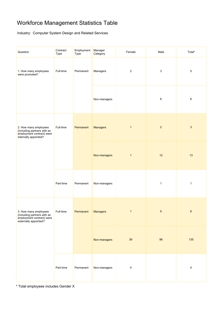### Workforce Management Statistics Table

Industry: Computer System Design and Related Services

| Question                                                                                                   | Contract<br>Type | Employment<br>Type | Manager<br>Category | Female                  | Male           | Total*       |
|------------------------------------------------------------------------------------------------------------|------------------|--------------------|---------------------|-------------------------|----------------|--------------|
| 1. How many employees<br>were promoted?                                                                    | Full-time        | Permanent          | Managers            | $\sqrt{2}$              | $\mathsf 3$    | $\sqrt{5}$   |
|                                                                                                            |                  |                    | Non-managers        |                         | 6              | 6            |
| 2. How many employees<br>(including partners with an<br>employment contract) were<br>internally appointed? | Full-time        | Permanent          | <b>Managers</b>     | $\mathbf{1}$            | $\overline{2}$ | $\mathbf{3}$ |
|                                                                                                            |                  |                    | Non-managers        | $\mathbf{1}$            | 12             | 13           |
|                                                                                                            | Part-time        | Permanent          | Non-managers        |                         | $\mathbf{1}$   | $\mathbf{1}$ |
| 3. How many employees<br>(including partners with an<br>employment contract) were<br>externally appointed? | Full-time        | Permanent          | <b>Managers</b>     | $\mathbf{1}$            | $\sqrt{5}$     | $\bf 6$      |
|                                                                                                            |                  |                    | Non-managers        | $39\,$                  | 96             | 135          |
|                                                                                                            | Part-time        | Permanent          | Non-managers        | $\overline{\mathbf{4}}$ |                | 4            |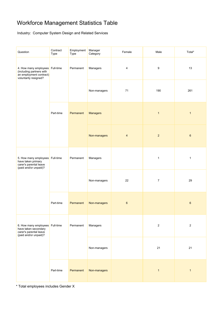### Workforce Management Statistics Table

Industry: Computer System Design and Related Services

| Question                                                                                                        | Contract<br>Type | Employment<br>Type | Manager<br>Category | Female         | Male             | Total*           |
|-----------------------------------------------------------------------------------------------------------------|------------------|--------------------|---------------------|----------------|------------------|------------------|
| 4. How many employees Full-time<br>(including partners with<br>an employment contract)<br>voluntarily resigned? |                  | Permanent          | Managers            | $\overline{4}$ | $\boldsymbol{9}$ | 13               |
|                                                                                                                 |                  |                    | Non-managers        | 71             | 190              | 261              |
|                                                                                                                 | Part-time        | Permanent          | <b>Managers</b>     |                | $\mathbf{1}$     | $\mathbf{1}$     |
|                                                                                                                 |                  |                    | Non-managers        | $\overline{4}$ | $\overline{2}$   | $\boldsymbol{6}$ |
| 5. How many employees Full-time<br>have taken primary<br>carer's parental leave<br>(paid and/or unpaid)?        |                  | Permanent          | Managers            |                | $\mathbf{1}$     | $\mathbf{1}$     |
|                                                                                                                 |                  |                    | Non-managers        | 22             | $\boldsymbol{7}$ | 29               |
|                                                                                                                 | Part-time        | Permanent          | Non-managers        | $\,6\,$        |                  | $\,6\,$          |
| 6. How many employees Full-time<br>have taken secondary<br>carer's parental leave<br>(paid and/or unpaid)?      | Permanent        | Managers           |                     | $\mathbf 2$    | $\sqrt{2}$       |                  |
|                                                                                                                 |                  |                    | Non-managers        |                | 21               | 21               |
|                                                                                                                 | Part-time        | Permanent          | Non-managers        |                | $\mathbf{1}$     | $\mathbf{1}$     |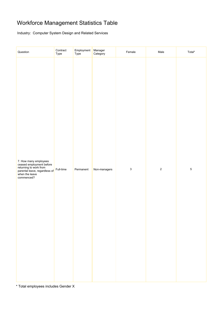### Workforce Management Statistics Table

Industry: Computer System Design and Related Services

| Question                                                                                                                                     | Contract<br>Type | Employment<br>Type | Manager<br>Category | Female       | Male       | Total*     |
|----------------------------------------------------------------------------------------------------------------------------------------------|------------------|--------------------|---------------------|--------------|------------|------------|
| 7. How many employees<br>ceased employment before<br>returning to work from<br>parental leave, regardless of<br>when the leave<br>commenced? | Full-time        | Permanent          | Non-managers        | $\mathbf{3}$ | $\sqrt{2}$ | $\sqrt{5}$ |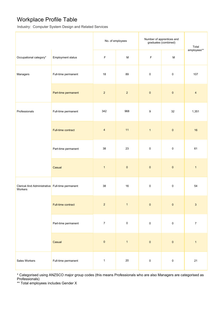### Workplace Profile Table

Industry: Computer System Design and Related Services

|                                                            |                          |                | No. of employees | Number of apprentices and<br>graduates (combined) | Total       |                           |
|------------------------------------------------------------|--------------------------|----------------|------------------|---------------------------------------------------|-------------|---------------------------|
| Occupational category*                                     | <b>Employment status</b> | F              | M                | $\mathsf F$                                       | ${\sf M}$   | employees**               |
| Managers                                                   | Full-time permanent      | 18             | 89               | $\pmb{0}$                                         | $\mathbf 0$ | 107                       |
|                                                            | Part-time permanent      | $\overline{2}$ | $\overline{2}$   | $\pmb{0}$                                         | $\pmb{0}$   | $\overline{4}$            |
| Professionals                                              | Full-time permanent      | 342            | 968              | $\boldsymbol{9}$                                  | 32          | 1,351                     |
|                                                            | Full-time contract       | $\overline{4}$ | 11               | $\mathbf{1}$                                      | $\pmb{0}$   | 16                        |
|                                                            | Part-time permanent      | 38             | 23               | $\pmb{0}$                                         | $\mathbf 0$ | 61                        |
|                                                            | Casual                   | $\mathbf{1}$   | $\pmb{0}$        | $\pmb{0}$                                         | $\pmb{0}$   | $\mathbf{1}$              |
| Clerical And Administrative Full-time permanent<br>Workers |                          | 38             | 16               | $\pmb{0}$                                         | $\mathbf 0$ | 54                        |
|                                                            | Full-time contract       | $\overline{c}$ | $\mathbf{1}$     | $\pmb{0}$                                         | $\pmb{0}$   | $\ensuremath{\mathsf{3}}$ |
|                                                            | Part-time permanent      | $\overline{7}$ | $\pmb{0}$        | $\pmb{0}$                                         | $\pmb{0}$   | $\boldsymbol{7}$          |
|                                                            | Casual                   | $\pmb{0}$      | $\overline{1}$   | $\pmb{0}$                                         | $\pmb{0}$   | $\mathbf{1}$              |
| Sales Workers                                              | Full-time permanent      | $\mathbf{1}$   | $20\,$           | $\pmb{0}$                                         | $\mathbf 0$ | 21                        |

\* Categorised using ANZSCO major group codes (this means Professionals who are also Managers are categorised as Professionals)